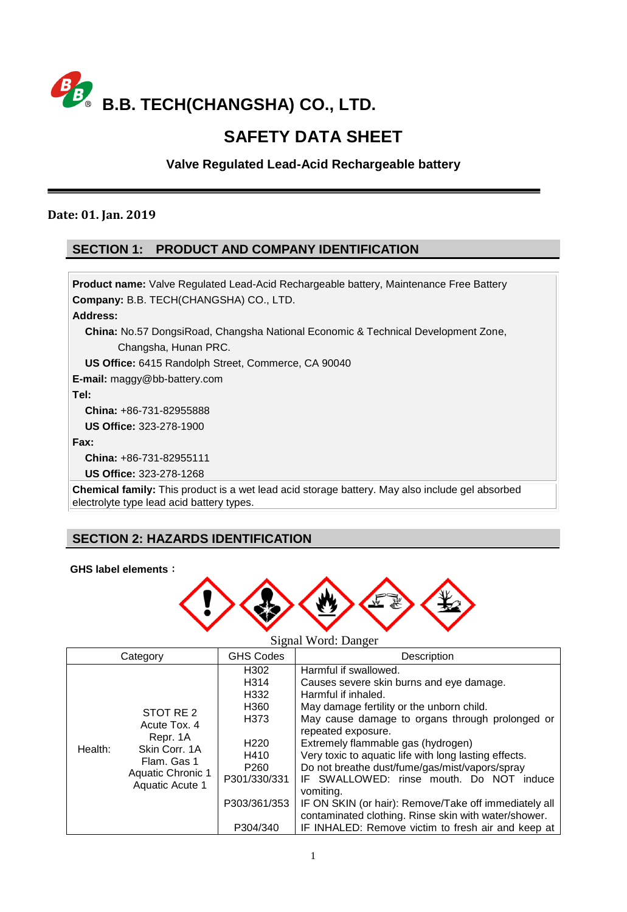

# **SAFETY DATA SHEET**

**Valve Regulated Lead-Acid Rechargeable battery**

### **Date: 01. Jan. 2019**

# **SECTION 1: PRODUCT AND COMPANY IDENTIFICATION**

**Product name:** Valve Regulated Lead-Acid Rechargeable battery, Maintenance Free Battery **Company:** B.B. TECH(CHANGSHA) CO., LTD. **Address: China:** No.57 DongsiRoad, Changsha National Economic & Technical Development Zone, Changsha, Hunan PRC. **US Office:** 6415 Randolph Street, Commerce, CA 90040 **E-mail:** maggy@bb-battery.com **Tel: China:** +86-731-82955888 **US Office:** 323-278-1900 **Fax: China:** +86-731-82955111 **US Office:** 323-278-1268 **Chemical family:** This product is a wet lead acid storage battery. May also include gel absorbed electrolyte type lead acid battery types.

# **SECTION 2: HAZARDS IDENTIFICATION**

### **GHS label elements**:



### Signal Word: Danger

| Category |                                                                                                                      | <b>GHS Codes</b>                                                                                                                 | Description                                                                                                                                                                                                                                                                                                                                                                                                                                                                                                                                                                                     |  |  |
|----------|----------------------------------------------------------------------------------------------------------------------|----------------------------------------------------------------------------------------------------------------------------------|-------------------------------------------------------------------------------------------------------------------------------------------------------------------------------------------------------------------------------------------------------------------------------------------------------------------------------------------------------------------------------------------------------------------------------------------------------------------------------------------------------------------------------------------------------------------------------------------------|--|--|
| Health:  | STOT RE 2<br>Acute Tox. 4<br>Repr. 1A<br>Skin Corr. 1A<br>Flam, Gas 1<br><b>Aquatic Chronic 1</b><br>Aquatic Acute 1 | H302<br>H314<br>H332<br>H360<br>H373<br>H <sub>220</sub><br>H410<br>P <sub>260</sub><br>P301/330/331<br>P303/361/353<br>P304/340 | Harmful if swallowed.<br>Causes severe skin burns and eye damage.<br>Harmful if inhaled.<br>May damage fertility or the unborn child.<br>May cause damage to organs through prolonged or<br>repeated exposure.<br>Extremely flammable gas (hydrogen)<br>Very toxic to aquatic life with long lasting effects.<br>Do not breathe dust/fume/gas/mist/vapors/spray<br>IF SWALLOWED: rinse mouth. Do NOT induce<br>vomiting.<br>IF ON SKIN (or hair): Remove/Take off immediately all<br>contaminated clothing. Rinse skin with water/shower.<br>IF INHALED: Remove victim to fresh air and keep at |  |  |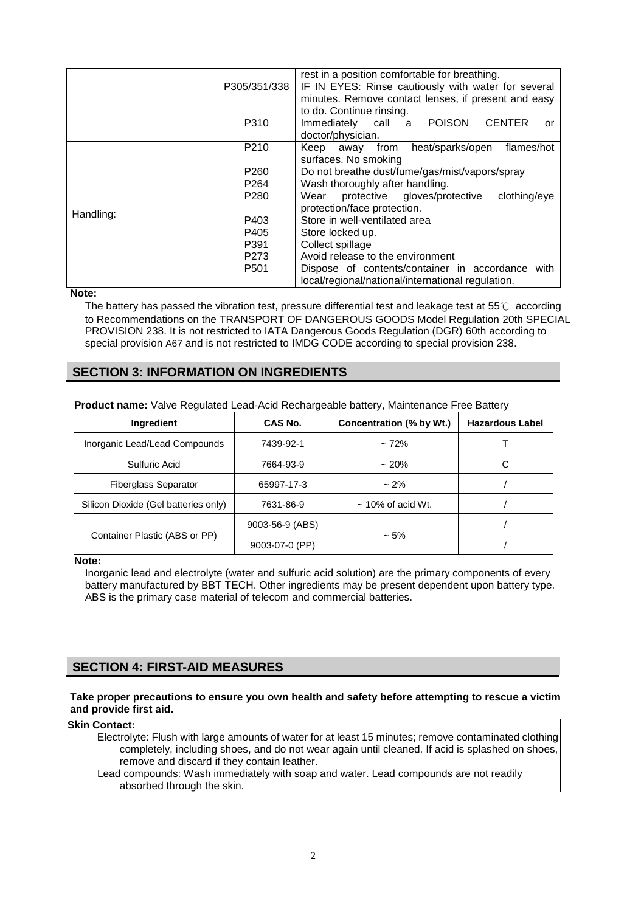|           |                                                                    | rest in a position comfortable for breathing.                    |  |  |  |  |
|-----------|--------------------------------------------------------------------|------------------------------------------------------------------|--|--|--|--|
|           | P305/351/338                                                       | IF IN EYES: Rinse cautiously with water for several              |  |  |  |  |
|           |                                                                    | minutes. Remove contact lenses, if present and easy              |  |  |  |  |
|           |                                                                    | to do. Continue rinsing.                                         |  |  |  |  |
|           | P310                                                               | <b>POISON</b><br><b>CENTER</b><br>Immediately<br>a<br>call<br>or |  |  |  |  |
|           |                                                                    | doctor/physician.                                                |  |  |  |  |
|           | P <sub>210</sub>                                                   | heat/sparks/open<br>flames/hot<br>Keep<br>from<br>away           |  |  |  |  |
|           |                                                                    | surfaces. No smoking                                             |  |  |  |  |
|           | P <sub>260</sub><br>Do not breathe dust/fume/gas/mist/vapors/spray |                                                                  |  |  |  |  |
|           | P <sub>264</sub>                                                   | Wash thoroughly after handling.                                  |  |  |  |  |
|           | P <sub>280</sub>                                                   | protective gloves/protective<br>clothing/eye<br>Wear             |  |  |  |  |
|           |                                                                    | protection/face protection.                                      |  |  |  |  |
| Handling: | P403                                                               | Store in well-ventilated area                                    |  |  |  |  |
|           | P405                                                               | Store locked up.                                                 |  |  |  |  |
|           | P391                                                               | Collect spillage                                                 |  |  |  |  |
|           | P273                                                               | Avoid release to the environment                                 |  |  |  |  |
|           | P <sub>501</sub>                                                   | Dispose of contents/container in accordance<br>with              |  |  |  |  |
|           |                                                                    | local/regional/national/international regulation.                |  |  |  |  |

#### **Note:**

The battery has passed the vibration test, pressure differential test and leakage test at 55℃ according to Recommendations on the TRANSPORT OF DANGEROUS GOODS Model Regulation 20th SPECIAL PROVISION 238. It is not restricted to IATA Dangerous Goods Regulation (DGR) 60th according to special provision A67 and is not restricted to IMDG CODE according to special provision 238.

### **SECTION 3: INFORMATION ON INGREDIENTS**

|  |  | <b>Product name:</b> Valve Regulated Lead-Acid Rechargeable battery, Maintenance Free Battery |
|--|--|-----------------------------------------------------------------------------------------------|
|  |  |                                                                                               |

| <b>Ingredient</b>                    | CAS No.         | Concentration (% by Wt.) | <b>Hazardous Label</b> |  |
|--------------------------------------|-----------------|--------------------------|------------------------|--|
| Inorganic Lead/Lead Compounds        | 7439-92-1       | $~12\%$                  |                        |  |
| Sulfuric Acid                        | 7664-93-9       | $~20\%$                  | C                      |  |
| Fiberglass Separator                 | 65997-17-3      | $~2\%$                   |                        |  |
| Silicon Dioxide (Gel batteries only) | 7631-86-9       | $\sim$ 10% of acid Wt.   |                        |  |
|                                      | 9003-56-9 (ABS) |                          |                        |  |
| Container Plastic (ABS or PP)        | 9003-07-0 (PP)  | $~1.5\%$                 |                        |  |

#### **Note:**

Inorganic lead and electrolyte (water and sulfuric acid solution) are the primary components of every battery manufactured by BBT TECH. Other ingredients may be present dependent upon battery type. ABS is the primary case material of telecom and commercial batteries.

### **SECTION 4: FIRST-AID MEASURES**

#### **Take proper precautions to ensure you own health and safety before attempting to rescue a victim and provide first aid.**

#### **Skin Contact:**

Electrolyte: Flush with large amounts of water for at least 15 minutes; remove contaminated clothing completely, including shoes, and do not wear again until cleaned. If acid is splashed on shoes, remove and discard if they contain leather. Lead compounds: Wash immediately with soap and water. Lead compounds are not readily

absorbed through the skin.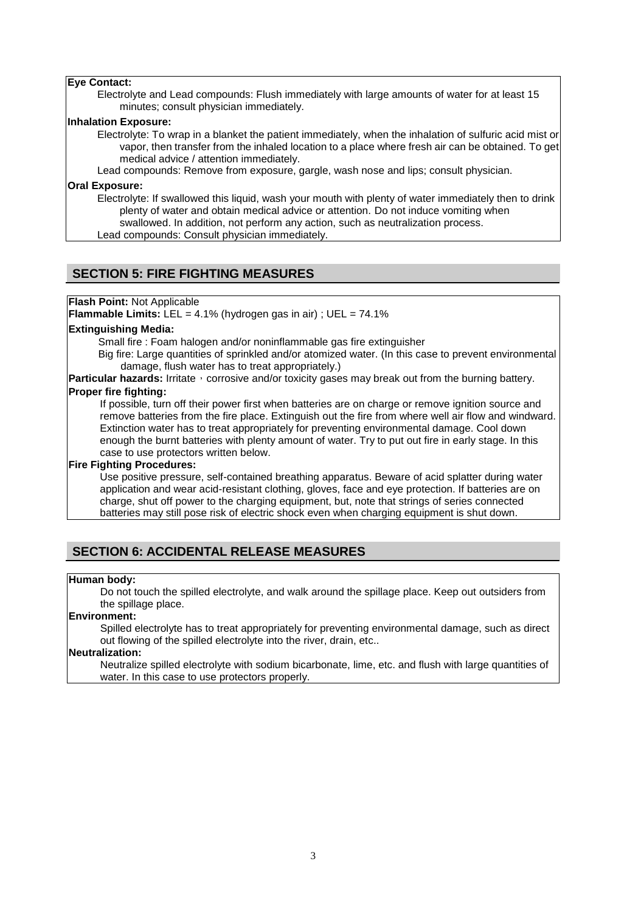### **Eye Contact:**

Electrolyte and Lead compounds: Flush immediately with large amounts of water for at least 15 minutes; consult physician immediately.

#### **Inhalation Exposure:**

Electrolyte: To wrap in a blanket the patient immediately, when the inhalation of sulfuric acid mist or vapor, then transfer from the inhaled location to a place where fresh air can be obtained. To get medical advice / attention immediately.

Lead compounds: Remove from exposure, gargle, wash nose and lips; consult physician.

#### **Oral Exposure:**

Electrolyte: If swallowed this liquid, wash your mouth with plenty of water immediately then to drink plenty of water and obtain medical advice or attention. Do not induce vomiting when swallowed. In addition, not perform any action, such as neutralization process.

Lead compounds: Consult physician immediately.

### **SECTION 5: FIRE FIGHTING MEASURES**

#### **Flash Point:** Not Applicable

**Flammable Limits:** LEL = 4.1% (hydrogen gas in air) ; UEL = 74.1%

#### **Extinguishing Media:**

Small fire : Foam halogen and/or noninflammable gas fire extinguisher

Big fire: Large quantities of sprinkled and/or atomized water. (In this case to prevent environmental damage, flush water has to treat appropriately.)

**Particular hazards:** Irritate, corrosive and/or toxicity gases may break out from the burning battery.

#### **Proper fire fighting:**

If possible, turn off their power first when batteries are on charge or remove ignition source and remove batteries from the fire place. Extinguish out the fire from where well air flow and windward. Extinction water has to treat appropriately for preventing environmental damage. Cool down enough the burnt batteries with plenty amount of water. Try to put out fire in early stage. In this case to use protectors written below.

#### **Fire Fighting Procedures:**

Use positive pressure, self-contained breathing apparatus. Beware of acid splatter during water application and wear acid-resistant clothing, gloves, face and eye protection. If batteries are on charge, shut off power to the charging equipment, but, note that strings of series connected batteries may still pose risk of electric shock even when charging equipment is shut down.

### **SECTION 6: ACCIDENTAL RELEASE MEASURES**

#### **Human body:**

Do not touch the spilled electrolyte, and walk around the spillage place. Keep out outsiders from the spillage place.

### **Environment:**

Spilled electrolyte has to treat appropriately for preventing environmental damage, such as direct out flowing of the spilled electrolyte into the river, drain, etc..

#### **Neutralization:**

Neutralize spilled electrolyte with sodium bicarbonate, lime, etc. and flush with large quantities of water. In this case to use protectors properly.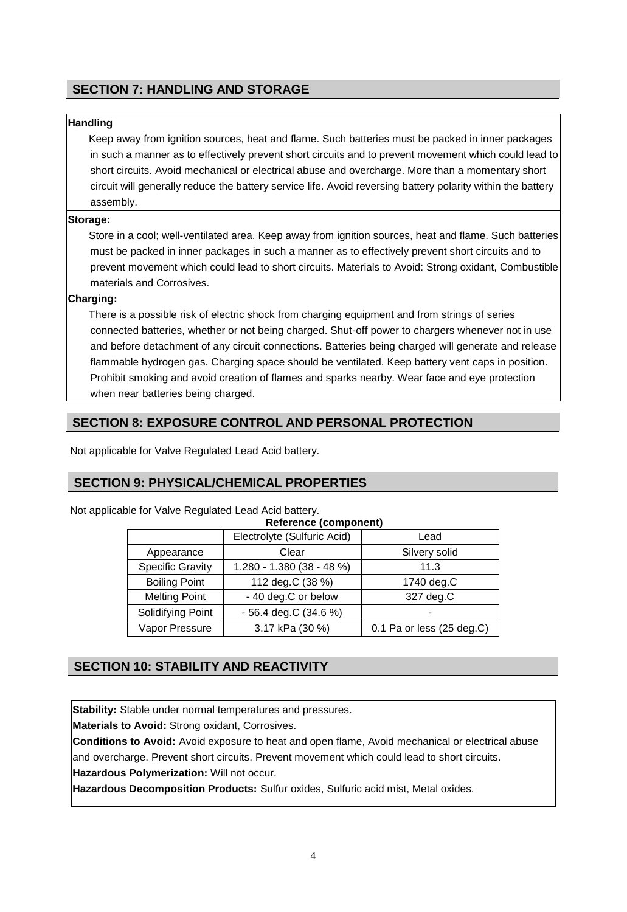# **SECTION 7: HANDLING AND STORAGE**

### **Handling**

Keep away from ignition sources, heat and flame. Such batteries must be packed in inner packages in such a manner as to effectively prevent short circuits and to prevent movement which could lead to short circuits. Avoid mechanical or electrical abuse and overcharge. More than a momentary short circuit will generally reduce the battery service life. Avoid reversing battery polarity within the battery assembly.

### **Storage:**

Store in a cool; well-ventilated area. Keep away from ignition sources, heat and flame. Such batteries must be packed in inner packages in such a manner as to effectively prevent short circuits and to prevent movement which could lead to short circuits. Materials to Avoid: Strong oxidant, Combustible materials and Corrosives.

### **Charging:**

There is a possible risk of electric shock from charging equipment and from strings of series connected batteries, whether or not being charged. Shut-off power to chargers whenever not in use and before detachment of any circuit connections. Batteries being charged will generate and release flammable hydrogen gas. Charging space should be ventilated. Keep battery vent caps in position. Prohibit smoking and avoid creation of flames and sparks nearby. Wear face and eye protection when near batteries being charged.

# **SECTION 8: EXPOSURE CONTROL AND PERSONAL PROTECTION**

Not applicable for Valve Regulated Lead Acid battery.

# **SECTION 9: PHYSICAL/CHEMICAL PROPERTIES**

| Not applicable for Valve Regulated Lead Acid battery. |  |  |  |  |  |  |  |                              |  |  |
|-------------------------------------------------------|--|--|--|--|--|--|--|------------------------------|--|--|
|                                                       |  |  |  |  |  |  |  | <b>Reference (component)</b> |  |  |
|                                                       |  |  |  |  |  |  |  |                              |  |  |

| <b>NOIGIGHOG (OOIHPOHOIIG</b> |                             |                                     |  |  |  |
|-------------------------------|-----------------------------|-------------------------------------|--|--|--|
|                               | Electrolyte (Sulfuric Acid) | Lead                                |  |  |  |
| Appearance                    | Clear                       | Silvery solid                       |  |  |  |
| <b>Specific Gravity</b>       | $1.280 - 1.380(38 - 48%)$   | 11.3                                |  |  |  |
| <b>Boiling Point</b>          | 112 deg.C (38 %)            | 1740 deg.C                          |  |  |  |
| <b>Melting Point</b>          | - 40 deg.C or below         | 327 deg.C                           |  |  |  |
| Solidifying Point             | - 56.4 deg.C (34.6 %)       |                                     |  |  |  |
| Vapor Pressure                | 3.17 kPa (30 %)             | 0.1 Pa or less $(25 \text{ deg.C})$ |  |  |  |

# **SECTION 10: STABILITY AND REACTIVITY**

**Stability:** Stable under normal temperatures and pressures.

**Materials to Avoid:** Strong oxidant, Corrosives.

**Conditions to Avoid:** Avoid exposure to heat and open flame, Avoid mechanical or electrical abuse and overcharge. Prevent short circuits. Prevent movement which could lead to short circuits. **Hazardous Polymerization:** Will not occur.

**Hazardous Decomposition Products:** Sulfur oxides, Sulfuric acid mist, Metal oxides.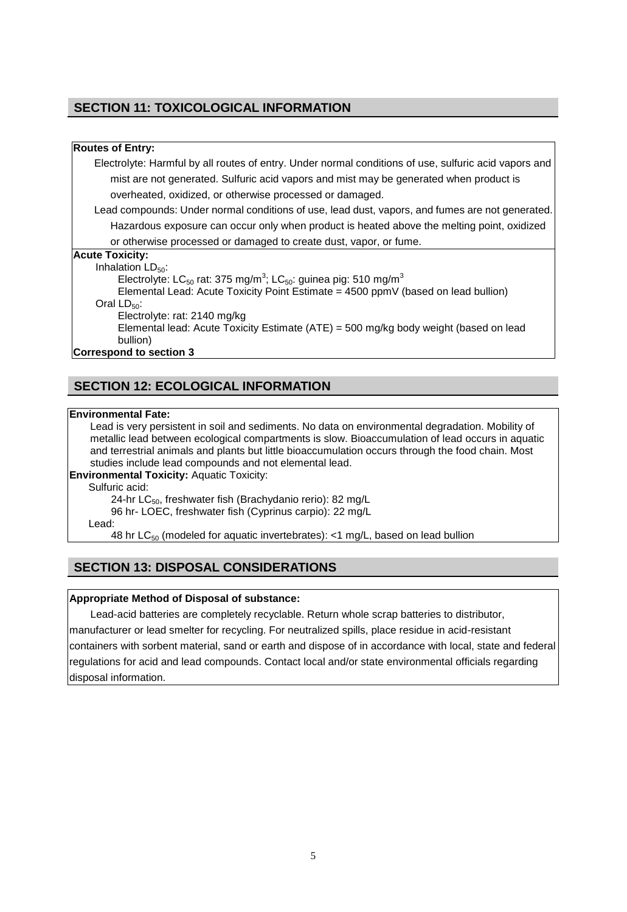### **SECTION 11: TOXICOLOGICAL INFORMATION**

#### **Routes of Entry:**

Electrolyte: Harmful by all routes of entry. Under normal conditions of use, sulfuric acid vapors and mist are not generated. Sulfuric acid vapors and mist may be generated when product is overheated, oxidized, or otherwise processed or damaged.

Lead compounds: Under normal conditions of use, lead dust, vapors, and fumes are not generated. Hazardous exposure can occur only when product is heated above the melting point, oxidized

or otherwise processed or damaged to create dust, vapor, or fume.

#### **Acute Toxicity:**

Inhalation  $LD_{50}$ :

Electrolyte: LC<sub>50</sub> rat: 375 mg/m<sup>3</sup>; LC<sub>50</sub>: guinea pig: 510 mg/m<sup>3</sup>

Elemental Lead: Acute Toxicity Point Estimate = 4500 ppmV (based on lead bullion)

Oral  $LD_{50}$ :

Electrolyte: rat: 2140 mg/kg

Elemental lead: Acute Toxicity Estimate (ATE) = 500 mg/kg body weight (based on lead bullion)

**Correspond to section 3**

### **SECTION 12: ECOLOGICAL INFORMATION**

#### **Environmental Fate:**

Lead is very persistent in soil and sediments. No data on environmental degradation. Mobility of metallic lead between ecological compartments is slow. Bioaccumulation of lead occurs in aquatic and terrestrial animals and plants but little bioaccumulation occurs through the food chain. Most studies include lead compounds and not elemental lead.

**Environmental Toxicity:** Aquatic Toxicity:

#### Sulfuric acid:

24-hr LC<sub>50</sub>, freshwater fish (Brachydanio rerio): 82 mg/L

96 hr- LOEC, freshwater fish (Cyprinus carpio): 22 mg/L

Lead:

48 hr LC<sub>50</sub> (modeled for aquatic invertebrates): <1 mg/L, based on lead bullion

# **SECTION 13: DISPOSAL CONSIDERATIONS**

#### **Appropriate Method of Disposal of substance:**

Lead-acid batteries are completely recyclable. Return whole scrap batteries to distributor, manufacturer or lead smelter for recycling. For neutralized spills, place residue in acid-resistant containers with sorbent material, sand or earth and dispose of in accordance with local, state and federal regulations for acid and lead compounds. Contact local and/or state environmental officials regarding disposal information.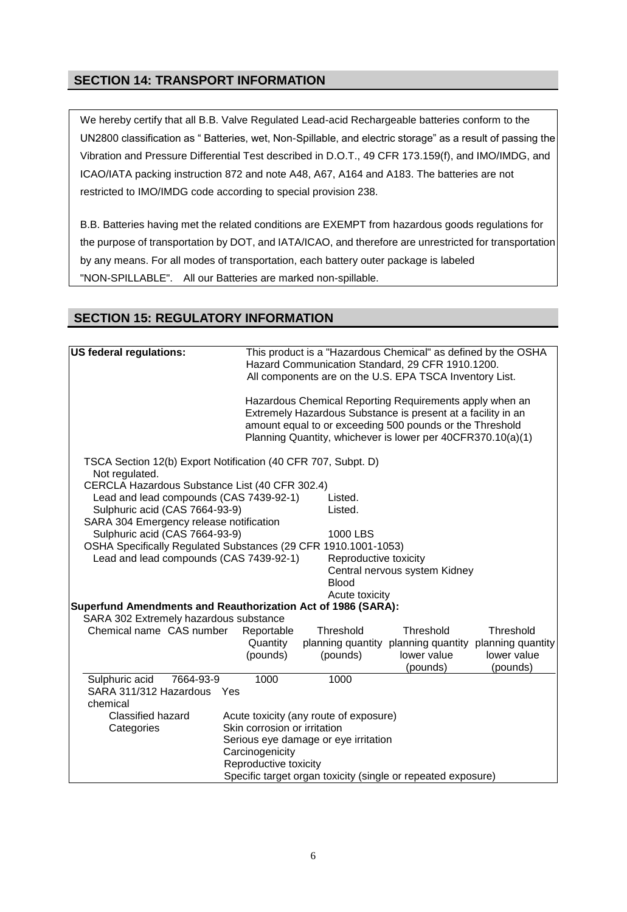# **SECTION 14: TRANSPORT INFORMATION**

We hereby certify that all B.B. Valve Regulated Lead-acid Rechargeable batteries conform to the UN2800 classification as " Batteries, wet, Non-Spillable, and electric storage" as a result of passing the Vibration and Pressure Differential Test described in D.O.T., 49 CFR 173.159(f), and IMO/IMDG, and ICAO/IATA packing instruction 872 and note A48, A67, A164 and A183. The batteries are not restricted to IMO/IMDG code according to special provision 238.

B.B. Batteries having met the related conditions are EXEMPT from hazardous goods regulations for the purpose of transportation by DOT, and IATA/ICAO, and therefore are unrestricted for transportation by any means. For all modes of transportation, each battery outer package is labeled "NON-SPILLABLE". All our Batteries are marked non-spillable.

# **SECTION 15: REGULATORY INFORMATION**

| <b>US federal regulations:</b><br>This product is a "Hazardous Chemical" as defined by the OSHA<br>Hazard Communication Standard, 29 CFR 1910.1200.<br>All components are on the U.S. EPA TSCA Inventory List. |                                                                                                                                                                                                                                                    |                                                                                |                                                       |                         |  |  |
|----------------------------------------------------------------------------------------------------------------------------------------------------------------------------------------------------------------|----------------------------------------------------------------------------------------------------------------------------------------------------------------------------------------------------------------------------------------------------|--------------------------------------------------------------------------------|-------------------------------------------------------|-------------------------|--|--|
|                                                                                                                                                                                                                | Hazardous Chemical Reporting Requirements apply when an<br>Extremely Hazardous Substance is present at a facility in an<br>amount equal to or exceeding 500 pounds or the Threshold<br>Planning Quantity, whichever is lower per 40CFR370.10(a)(1) |                                                                                |                                                       |                         |  |  |
| TSCA Section 12(b) Export Notification (40 CFR 707, Subpt. D)<br>Not regulated.                                                                                                                                |                                                                                                                                                                                                                                                    |                                                                                |                                                       |                         |  |  |
| CERCLA Hazardous Substance List (40 CFR 302.4)<br>Lead and lead compounds (CAS 7439-92-1)<br>Sulphuric acid (CAS 7664-93-9)                                                                                    |                                                                                                                                                                                                                                                    | Listed.<br>Listed.                                                             |                                                       |                         |  |  |
| SARA 304 Emergency release notification<br>Sulphuric acid (CAS 7664-93-9)<br>OSHA Specifically Regulated Substances (29 CFR 1910.1001-1053)                                                                    |                                                                                                                                                                                                                                                    | 1000 LBS                                                                       |                                                       |                         |  |  |
| Lead and lead compounds (CAS 7439-92-1)                                                                                                                                                                        |                                                                                                                                                                                                                                                    | Reproductive toxicity<br><b>Blood</b>                                          | Central nervous system Kidney                         |                         |  |  |
|                                                                                                                                                                                                                |                                                                                                                                                                                                                                                    | Acute toxicity<br>Superfund Amendments and Reauthorization Act of 1986 (SARA): |                                                       |                         |  |  |
| SARA 302 Extremely hazardous substance                                                                                                                                                                         |                                                                                                                                                                                                                                                    |                                                                                |                                                       |                         |  |  |
| Chemical name CAS number                                                                                                                                                                                       | Reportable                                                                                                                                                                                                                                         | Threshold                                                                      | Threshold                                             | Threshold               |  |  |
|                                                                                                                                                                                                                | Quantity                                                                                                                                                                                                                                           |                                                                                | planning quantity planning quantity planning quantity |                         |  |  |
|                                                                                                                                                                                                                | (pounds)                                                                                                                                                                                                                                           | (pounds)                                                                       | lower value<br>(pounds)                               | lower value<br>(pounds) |  |  |
| Sulphuric acid<br>7664-93-9<br>SARA 311/312 Hazardous Yes<br>chemical                                                                                                                                          | 1000                                                                                                                                                                                                                                               | 1000                                                                           |                                                       |                         |  |  |
| <b>Classified hazard</b><br>Categories                                                                                                                                                                         | Skin corrosion or irritation<br>Carcinogenicity                                                                                                                                                                                                    | Acute toxicity (any route of exposure)<br>Serious eye damage or eye irritation |                                                       |                         |  |  |
|                                                                                                                                                                                                                | Reproductive toxicity                                                                                                                                                                                                                              | Specific target organ toxicity (single or repeated exposure)                   |                                                       |                         |  |  |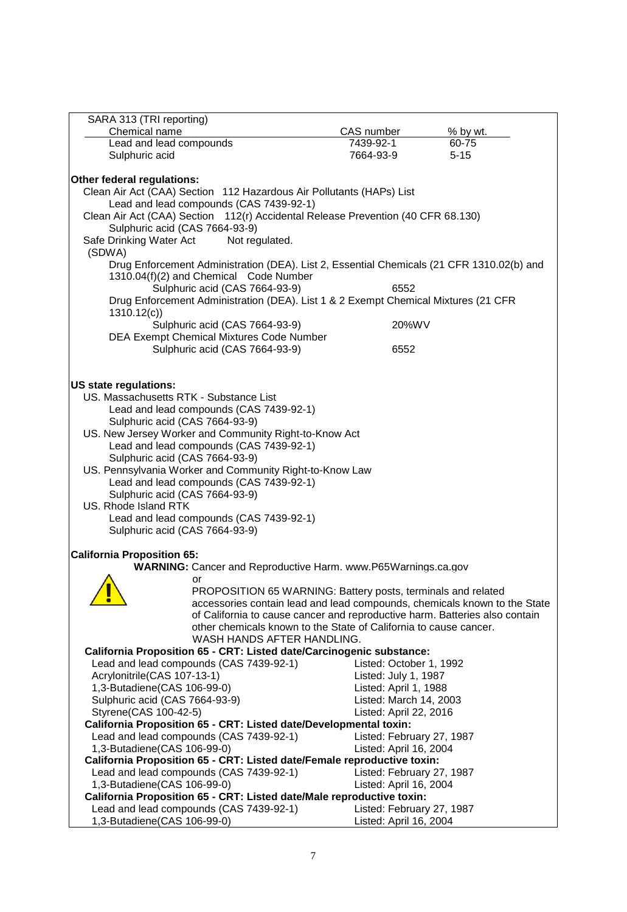| SARA 313 (TRI reporting)                                                                  |                           |          |  |  |  |  |
|-------------------------------------------------------------------------------------------|---------------------------|----------|--|--|--|--|
| Chemical name                                                                             | CAS number                | % by wt. |  |  |  |  |
| Lead and lead compounds                                                                   | 7439-92-1                 | 60-75    |  |  |  |  |
| Sulphuric acid                                                                            | 7664-93-9                 | $5 - 15$ |  |  |  |  |
|                                                                                           |                           |          |  |  |  |  |
| Other federal regulations:                                                                |                           |          |  |  |  |  |
| Clean Air Act (CAA) Section 112 Hazardous Air Pollutants (HAPs) List                      |                           |          |  |  |  |  |
| Lead and lead compounds (CAS 7439-92-1)                                                   |                           |          |  |  |  |  |
| Clean Air Act (CAA) Section 112(r) Accidental Release Prevention (40 CFR 68.130)          |                           |          |  |  |  |  |
| Sulphuric acid (CAS 7664-93-9)                                                            |                           |          |  |  |  |  |
| Safe Drinking Water Act<br>Not regulated.                                                 |                           |          |  |  |  |  |
| (SDWA)                                                                                    |                           |          |  |  |  |  |
| Drug Enforcement Administration (DEA). List 2, Essential Chemicals (21 CFR 1310.02(b) and |                           |          |  |  |  |  |
| 1310.04(f)(2) and Chemical Code Number                                                    |                           |          |  |  |  |  |
| Sulphuric acid (CAS 7664-93-9)                                                            | 6552                      |          |  |  |  |  |
| Drug Enforcement Administration (DEA). List 1 & 2 Exempt Chemical Mixtures (21 CFR        |                           |          |  |  |  |  |
| 1310.12(c)                                                                                |                           |          |  |  |  |  |
| Sulphuric acid (CAS 7664-93-9)                                                            | 20%WV                     |          |  |  |  |  |
| DEA Exempt Chemical Mixtures Code Number                                                  |                           |          |  |  |  |  |
| Sulphuric acid (CAS 7664-93-9)                                                            | 6552                      |          |  |  |  |  |
|                                                                                           |                           |          |  |  |  |  |
|                                                                                           |                           |          |  |  |  |  |
| <b>US state regulations:</b>                                                              |                           |          |  |  |  |  |
| US. Massachusetts RTK - Substance List                                                    |                           |          |  |  |  |  |
| Lead and lead compounds (CAS 7439-92-1)                                                   |                           |          |  |  |  |  |
| Sulphuric acid (CAS 7664-93-9)                                                            |                           |          |  |  |  |  |
| US. New Jersey Worker and Community Right-to-Know Act                                     |                           |          |  |  |  |  |
| Lead and lead compounds (CAS 7439-92-1)                                                   |                           |          |  |  |  |  |
| Sulphuric acid (CAS 7664-93-9)                                                            |                           |          |  |  |  |  |
| US. Pennsylvania Worker and Community Right-to-Know Law                                   |                           |          |  |  |  |  |
| Lead and lead compounds (CAS 7439-92-1)                                                   |                           |          |  |  |  |  |
| Sulphuric acid (CAS 7664-93-9)                                                            |                           |          |  |  |  |  |
| US. Rhode Island RTK                                                                      |                           |          |  |  |  |  |
| Lead and lead compounds (CAS 7439-92-1)                                                   |                           |          |  |  |  |  |
| Sulphuric acid (CAS 7664-93-9)                                                            |                           |          |  |  |  |  |
|                                                                                           |                           |          |  |  |  |  |
| <b>California Proposition 65:</b>                                                         |                           |          |  |  |  |  |
| WARNING: Cancer and Reproductive Harm. www.P65Warnings.ca.gov                             |                           |          |  |  |  |  |
| or                                                                                        |                           |          |  |  |  |  |
| PROPOSITION 65 WARNING: Battery posts, terminals and related                              |                           |          |  |  |  |  |
| accessories contain lead and lead compounds, chemicals known to the State                 |                           |          |  |  |  |  |
| of California to cause cancer and reproductive harm. Batteries also contain               |                           |          |  |  |  |  |
| other chemicals known to the State of California to cause cancer.                         |                           |          |  |  |  |  |
| WASH HANDS AFTER HANDLING.                                                                |                           |          |  |  |  |  |
| California Proposition 65 - CRT: Listed date/Carcinogenic substance:                      |                           |          |  |  |  |  |
| Lead and lead compounds (CAS 7439-92-1)                                                   | Listed: October 1, 1992   |          |  |  |  |  |
| Acrylonitrile(CAS 107-13-1)                                                               | Listed: July 1, 1987      |          |  |  |  |  |
| 1,3-Butadiene(CAS 106-99-0)                                                               | Listed: April 1, 1988     |          |  |  |  |  |
| Sulphuric acid (CAS 7664-93-9)                                                            | Listed: March 14, 2003    |          |  |  |  |  |
| Styrene(CAS 100-42-5)                                                                     | Listed: April 22, 2016    |          |  |  |  |  |
| California Proposition 65 - CRT: Listed date/Developmental toxin:                         |                           |          |  |  |  |  |
| Lead and lead compounds (CAS 7439-92-1)                                                   | Listed: February 27, 1987 |          |  |  |  |  |
| 1,3-Butadiene(CAS 106-99-0)                                                               | Listed: April 16, 2004    |          |  |  |  |  |
| California Proposition 65 - CRT: Listed date/Female reproductive toxin:                   |                           |          |  |  |  |  |
| Lead and lead compounds (CAS 7439-92-1)                                                   | Listed: February 27, 1987 |          |  |  |  |  |
|                                                                                           |                           |          |  |  |  |  |
| 1,3-Butadiene(CAS 106-99-0)                                                               | Listed: April 16, 2004    |          |  |  |  |  |
| California Proposition 65 - CRT: Listed date/Male reproductive toxin:                     |                           |          |  |  |  |  |
| Lead and lead compounds (CAS 7439-92-1)                                                   | Listed: February 27, 1987 |          |  |  |  |  |
| 1,3-Butadiene(CAS 106-99-0)                                                               | Listed: April 16, 2004    |          |  |  |  |  |